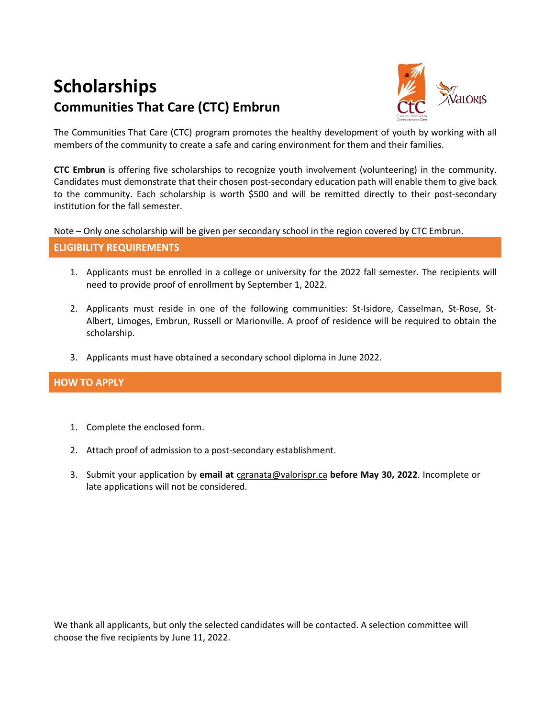# **Scholarships Communities That Care (CTC) Embrun**



The Communities That Care (CTC) program promotes the healthy development of youth by working with all members of the community to create a safe and caring environment for them and their families.

**CTC Embrun** is offering five scholarships to recognize youth involvement (volunteering) in the community. Candidates must demonstrate that their chosen post-secondary education path will enable them to give back to the community. Each scholarship is worth \$500 and will be remitted directly to their post-secondary institution for the fall semester.

Note – Only one scholarship will be given per secondary school in the region covered by CTC Embrun.

### **ELIGIBILITY REQUIREMENTS**

- 1. Applicants must be enrolled in a college or university for the 2022 fall semester. The recipients will need to provide proof of enrollment by September 1, 2022.
- 2. Applicants must reside in one of the following communities: St-Isidore, Casselman, St-Rose, St-Albert, Limoges, Embrun, Russell or Marionville. A proof of residence will be required to obtain the scholarship.
- 3. Applicants must have obtained a secondary school diploma in June 2022.

## **HOW TO APPLY**

- 1. Complete the enclosed form.
- 2. Attach proof of admission to a post-secondary establishment.
- 3. Submit your application by **email at** [cgranata@valorispr.ca](mailto:cgranata@valorispr.ca) **before May 30, 2022**. Incomplete or late applications will not be considered.

We thank all applicants, but only the selected candidates will be contacted. A selection committee will choose the five recipients by June 11, 2022.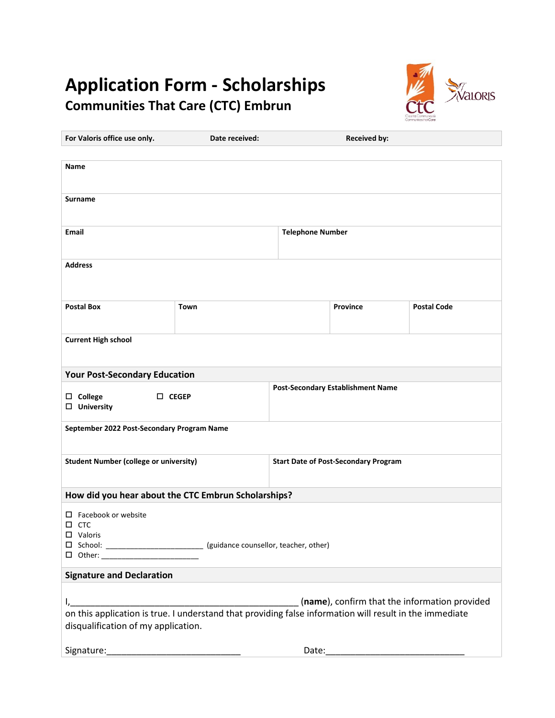## **Application Form - Scholarships Communities That Care (CTC) Embrun**



| For Valoris office use only.                                                                                                                                           | Date received:                                                            |                                             | <b>Received by:</b> |                    |  |
|------------------------------------------------------------------------------------------------------------------------------------------------------------------------|---------------------------------------------------------------------------|---------------------------------------------|---------------------|--------------------|--|
|                                                                                                                                                                        |                                                                           |                                             |                     |                    |  |
| <b>Name</b>                                                                                                                                                            |                                                                           |                                             |                     |                    |  |
|                                                                                                                                                                        |                                                                           |                                             |                     |                    |  |
| Surname                                                                                                                                                                |                                                                           |                                             |                     |                    |  |
|                                                                                                                                                                        |                                                                           |                                             |                     |                    |  |
| Email                                                                                                                                                                  |                                                                           | <b>Telephone Number</b>                     |                     |                    |  |
|                                                                                                                                                                        |                                                                           |                                             |                     |                    |  |
| <b>Address</b>                                                                                                                                                         |                                                                           |                                             |                     |                    |  |
|                                                                                                                                                                        |                                                                           |                                             |                     |                    |  |
|                                                                                                                                                                        |                                                                           |                                             |                     |                    |  |
| <b>Postal Box</b>                                                                                                                                                      | Town                                                                      |                                             | <b>Province</b>     | <b>Postal Code</b> |  |
|                                                                                                                                                                        |                                                                           |                                             |                     |                    |  |
| <b>Current High school</b>                                                                                                                                             |                                                                           |                                             |                     |                    |  |
|                                                                                                                                                                        |                                                                           |                                             |                     |                    |  |
|                                                                                                                                                                        |                                                                           |                                             |                     |                    |  |
| <b>Your Post-Secondary Education</b><br><b>Post-Secondary Establishment Name</b>                                                                                       |                                                                           |                                             |                     |                    |  |
| $\square$ College<br>$\Box$ CEGEP<br>$\Box$ University                                                                                                                 |                                                                           |                                             |                     |                    |  |
|                                                                                                                                                                        |                                                                           |                                             |                     |                    |  |
| September 2022 Post-Secondary Program Name                                                                                                                             |                                                                           |                                             |                     |                    |  |
|                                                                                                                                                                        |                                                                           |                                             |                     |                    |  |
| <b>Student Number (college or university)</b>                                                                                                                          |                                                                           | <b>Start Date of Post-Secondary Program</b> |                     |                    |  |
|                                                                                                                                                                        |                                                                           |                                             |                     |                    |  |
|                                                                                                                                                                        |                                                                           |                                             |                     |                    |  |
| How did you hear about the CTC Embrun Scholarships?                                                                                                                    |                                                                           |                                             |                     |                    |  |
| $\Box$ Facebook or website<br>$\square$ CTC                                                                                                                            |                                                                           |                                             |                     |                    |  |
| $\square$ Valoris                                                                                                                                                      |                                                                           |                                             |                     |                    |  |
|                                                                                                                                                                        | □ School: _________________________ (guidance counsellor, teacher, other) |                                             |                     |                    |  |
| □ Other: __________________________                                                                                                                                    |                                                                           |                                             |                     |                    |  |
| <b>Signature and Declaration</b>                                                                                                                                       |                                                                           |                                             |                     |                    |  |
|                                                                                                                                                                        |                                                                           |                                             |                     |                    |  |
| (name), confirm that the information provided<br>$I_{\ell}$<br>on this application is true. I understand that providing false information will result in the immediate |                                                                           |                                             |                     |                    |  |
| disqualification of my application.                                                                                                                                    |                                                                           |                                             |                     |                    |  |
|                                                                                                                                                                        |                                                                           |                                             |                     |                    |  |
| Signature:                                                                                                                                                             |                                                                           | Date:                                       |                     |                    |  |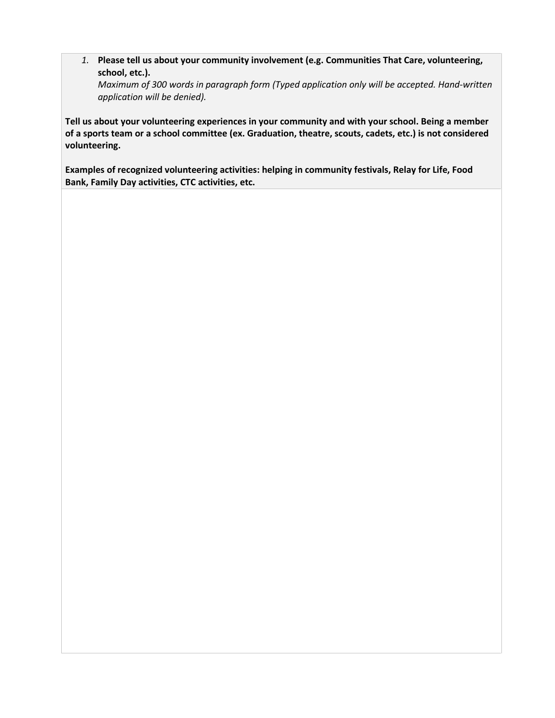*1.* **Please tell us about your community involvement (e.g. Communities That Care, volunteering, school, etc.).** 

*Maximum of 300 words in paragraph form (Typed application only will be accepted. Hand-written application will be denied).* 

**Tell us about your volunteering experiences in your community and with your school. Being a member of a sports team or a school committee (ex. Graduation, theatre, scouts, cadets, etc.) is not considered volunteering.**

**Examples of recognized volunteering activities: helping in community festivals, Relay for Life, Food Bank, Family Day activities, CTC activities, etc.**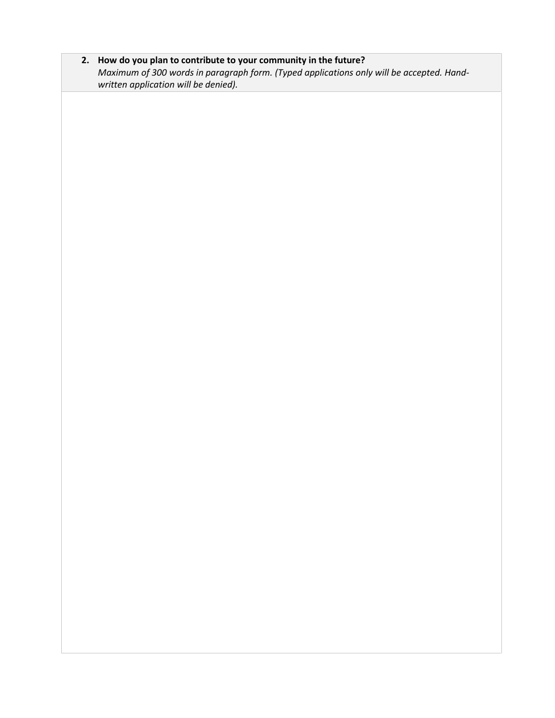**2. How do you plan to contribute to your community in the future?**  *Maximum of 300 words in paragraph form. (Typed applications only will be accepted. Handwritten application will be denied).*